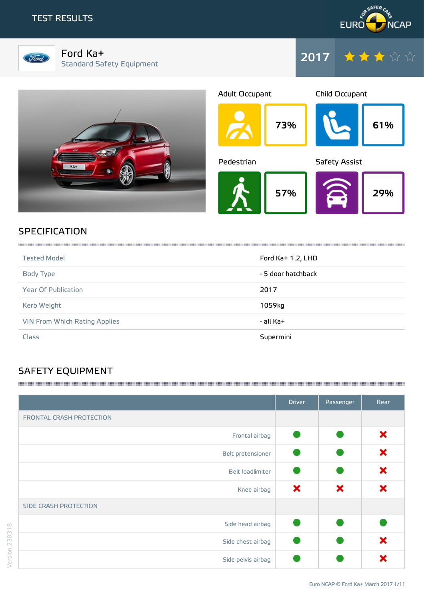## TEST RESULTS





Ford Ka+ Standard Safety Equipment







# **SPECIFICATION**

| <b>Tested Model</b>                  | Ford $Ka+1.2$ , LHD |
|--------------------------------------|---------------------|
| Body Type                            | - 5 door hatchback  |
| <b>Year Of Publication</b>           | 2017                |
| Kerb Weight                          | 1059kg              |
| <b>VIN From Which Rating Applies</b> | - all Ka+           |
| Class                                | Supermini           |

# SAFETY EQUIPMENT

|                          | <b>Driver</b> | Passenger | Rear |
|--------------------------|---------------|-----------|------|
| FRONTAL CRASH PROTECTION |               |           |      |
| Frontal airbag           |               |           | ×    |
| Belt pretensioner        |               |           | ×    |
| Belt loadlimiter         |               |           | ×    |
| Knee airbag              | ×             | ×         | ×    |
| SIDE CRASH PROTECTION    |               |           |      |
| Side head airbag         |               |           |      |
| Side chest airbag        |               |           | ×    |
| Side pelvis airbag       |               |           | x    |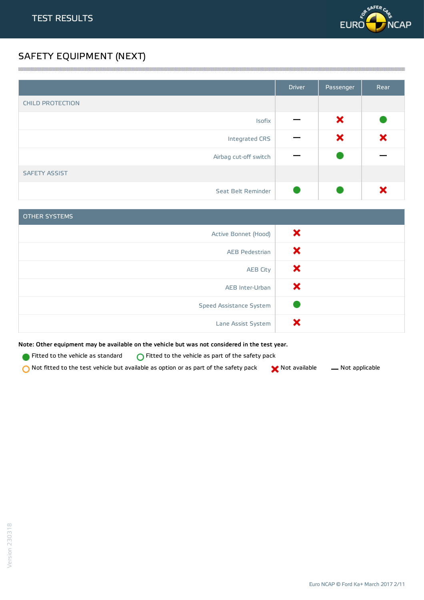

# SAFETY EQUIPMENT (NEXT)

|                         | <b>Driver</b> | Passenger | Rear |
|-------------------------|---------------|-----------|------|
| <b>CHILD PROTECTION</b> |               |           |      |
| Isofix                  |               | ×         |      |
| Integrated CRS          |               | ×         | ×    |
| Airbag cut-off switch   |               |           |      |
| <b>SAFETY ASSIST</b>    |               |           |      |
| Seat Belt Reminder      |               |           |      |

<u> 1989 - Andrea Stadt Stadt Stadt Stadt Stadt Stadt Stadt Stadt Stadt Stadt Stadt Stadt Stadt Stadt Stadt Stadt Stadt Stadt Stadt Stadt Stadt Stadt Stadt Stadt Stadt Stadt Stadt Stadt Stadt Stadt Stadt Stadt Stadt Stadt St</u>

| <b>OTHER SYSTEMS</b>    |   |
|-------------------------|---|
| Active Bonnet (Hood)    | × |
| <b>AEB Pedestrian</b>   | х |
| <b>AEB City</b>         | × |
| AEB Inter-Urban         | х |
| Speed Assistance System |   |
| Lane Assist System      |   |

Note: Other equipment may be available on the vehicle but was not considered in the test year.

Fitted to the vehicle as standard  $\bigcirc$  Fitted to the vehicle as part of the safety pack

 $\bigcirc$  Not fitted to the test vehicle but available as option or as part of the safety pack  $\bigcirc$  Not available  $\qquad$  Not applicable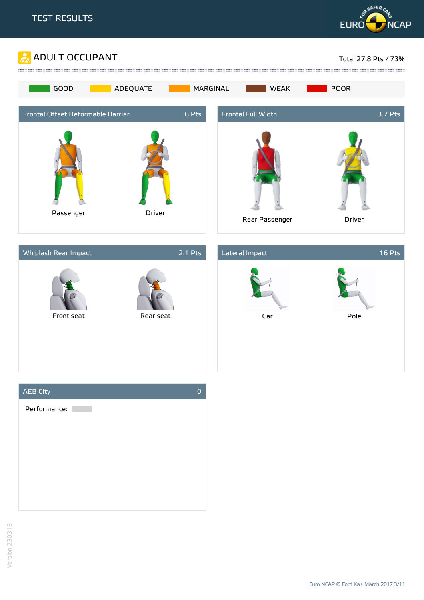







Version 230318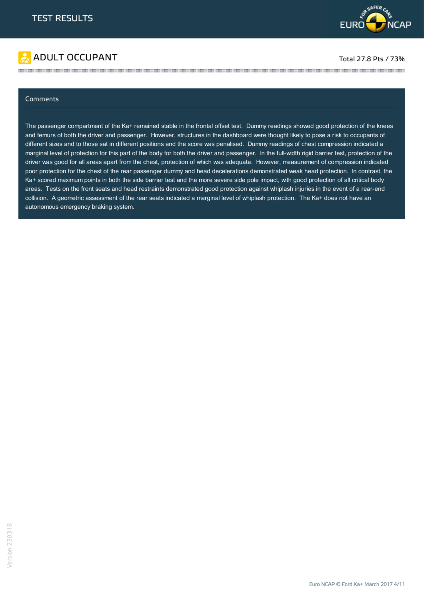

# ADULT OCCUPANT TO A RESERVE TO A RESERVE TO A RESERVE TO A RESERVE TO A RESERVE TO A RESERVE TO A RESERVE TO A RESERVE TO A RESERVE TO A RESERVE TO A RESERVE TO A RESERVE TO A RESERVE TO A RESERVE TO A RESERVE TO A RESERVE

#### Comments

The passenger compartment of the Ka+ remained stable in the frontal offset test. Dummy readings showed good protection of the knees and femurs of both the driver and passenger. However, structures in the dashboard were thought likely to pose a risk to occupants of different sizes and to those sat in different positions and the score was penalised. Dummy readings of chest compression indicated a marginal level of protection for this part of the body for both the driver and passenger. In the full-width rigid barrier test, protection of the driver was good for all areas apart from the chest, protection of which was adequate. However, measurement of compression indicated poor protection for the chest of the rear passenger dummy and head decelerations demonstrated weak head protection. In contrast, the Ka+ scored maximum points in both the side barrier test and the more severe side pole impact, with good protection of all critical body areas. Tests on the front seats and head restraints demonstrated good protection against whiplash injuries in the event of a rear-end collision. A geometric assessment of the rear seats indicated a marginal level of whiplash protection. The Ka+ does not have an autonomous emergency braking system.

the contract of the contract of the contract of the contract of the contract of the contract of the contract of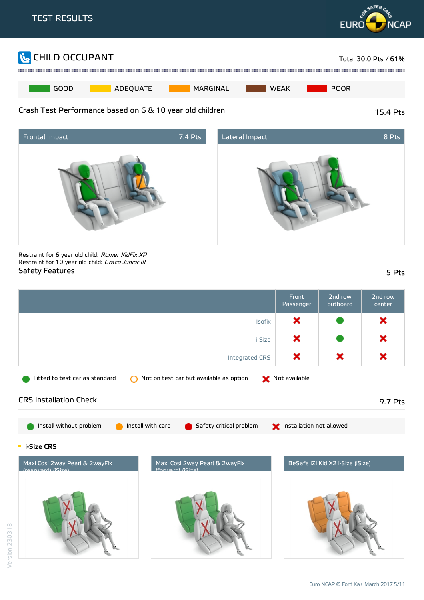





Restraint for 6 year old child: Römer KidFix XP Restraint for 10 year old child: Graco Junior III Safety Features 5 Pts

|                                                     |                                                    | <b>Front</b><br>Passenger | 2nd row<br>outboard              | 2nd row<br>center |
|-----------------------------------------------------|----------------------------------------------------|---------------------------|----------------------------------|-------------------|
|                                                     | Isofix                                             | ×                         |                                  | ×                 |
|                                                     | i-Size                                             | ×                         |                                  | ×                 |
|                                                     | Integrated CRS                                     | ×                         | ×                                | ×                 |
| Fitted to test car as standard                      | Not on test car but available as option            | Not available             |                                  |                   |
| <b>CRS Installation Check</b>                       |                                                    |                           |                                  | 9.7 Pts           |
| Install without problem<br>Install with care        | Safety critical problem                            | Installation not allowed  |                                  |                   |
| <b>E</b> i-Size CRS                                 |                                                    |                           |                                  |                   |
| Maxi Cosi 2way Pearl & 2wayFix<br>(rearward) (Size) | Maxi Cosi 2way Pearl & 2wayFix<br>(forward) (Size) |                           | BeSafe iZi Kid X2 i-Size (iSize) |                   |
|                                                     |                                                    |                           |                                  |                   |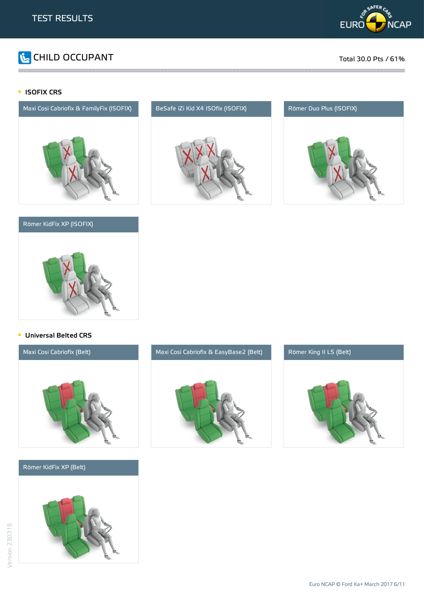

# **The CHILD OCCUPANT** Total 30.0 Pts / 61%

### **ISOFIX CRS**



### Römer KidFix XP (ISOFIX)



the contract of the contract of the contract of the contract of the contract of the contract of the contract of





### **Universal Belted CRS**



### Römer KidFix XP (Belt)





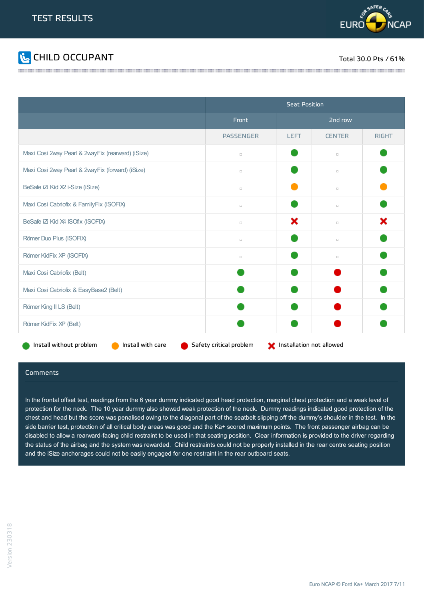



|                                                   | <b>Seat Position</b>                                |             |               |              |
|---------------------------------------------------|-----------------------------------------------------|-------------|---------------|--------------|
|                                                   | Front                                               | 2nd row     |               |              |
|                                                   | <b>PASSENGER</b>                                    | <b>LEFT</b> | <b>CENTER</b> | <b>RIGHT</b> |
| Maxi Cosi 2way Pearl & 2wayFix (rearward) (iSize) | $\Box$                                              |             | $\Box$        |              |
| Maxi Cosi 2way Pearl & 2wayFix (forward) (iSize)  | $\Box$                                              |             | $\Box$        |              |
| BeSafe iZi Kid X2 i-Size (iSize)                  | $\Box$                                              |             | $\Box$        |              |
| Maxi Cosi Cabriofix & FamilyFix (ISOFIX)          | $\Box$                                              |             | $\Box$        |              |
| BeSafe iZ Kid X4 ISOfix (ISOFIX)                  | $\Box$                                              | ×           | $\Box$        | ×            |
| Römer Duo Plus (ISOFIX)                           | $\Box$                                              |             | $\Box$        |              |
| Römer KidFix XP (ISOFIX)                          | $\Box$                                              |             | $\Box$        |              |
| Maxi Cosi Cabriofix (Belt)                        |                                                     |             |               |              |
| Maxi Cosi Cabriofix & EasyBase2 (Belt)            |                                                     |             |               |              |
| Römer King II LS (Belt)                           |                                                     |             |               |              |
| Römer KidFix XP (Belt)                            |                                                     |             |               |              |
| Install without problem<br>Install with care      | Safety critical problem<br>Installation not allowed |             |               |              |

#### Comments

In the frontal offset test, readings from the 6 year dummy indicated good head protection, marginal chest protection and a weak level of protection for the neck. The 10 year dummy also showed weak protection of the neck. Dummy readings indicated good protection of the chest and head but the score was penalised owing to the diagonal part of the seatbelt slipping off the dummy's shoulder in the test. In the side barrier test, protection of all critical body areas was good and the Ka+ scored maximum points. The front passenger airbag can be disabled to allow a rearward-facing child restraint to be used in that seating position. Clear information is provided to the driver regarding the status of the airbag and the system was rewarded. Child restraints could not be properly installed in the rear centre seating position and the iSize anchorages could not be easily engaged for one restraint in the rear outboard seats.

Euro NCAP © Ford Ka+ March 2017 7/11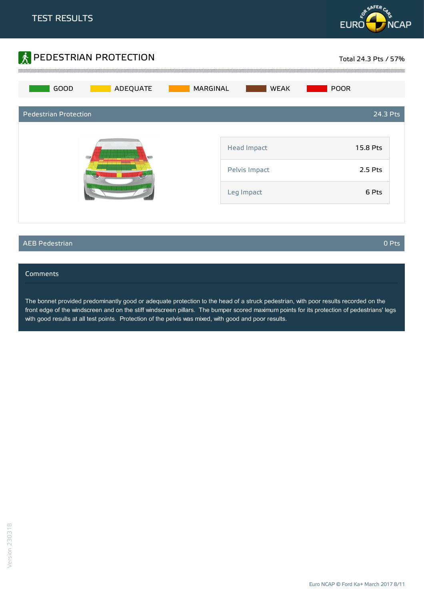



### AEB Pedestrian 0 Pts

#### **Comments**

The bonnet provided predominantly good or adequate protection to the head of a struck pedestrian, with poor results recorded on the front edge of the windscreen and on the stiff windscreen pillars. The bumper scored maximum points for its protection of pedestrians' legs with good results at all test points. Protection of the pelvis was mixed, with good and poor results.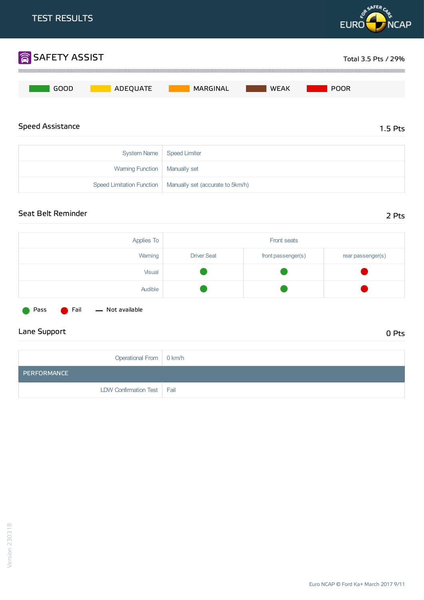

## Seat Belt Reminder 2 Pts

| Applies To | Front seats        |                    |                   |
|------------|--------------------|--------------------|-------------------|
| Warning    | <b>Driver Seat</b> | front passenger(s) | rear passenger(s) |
| Visual     |                    |                    |                   |
| Audible    |                    |                    |                   |
|            |                    |                    |                   |

Pass **C** Fail - Not available

# Lane Support 0 Pts

| Operational From   0 km/h    |  |
|------------------------------|--|
| PERFORMANCE                  |  |
| LDW Confirmation Test   Fail |  |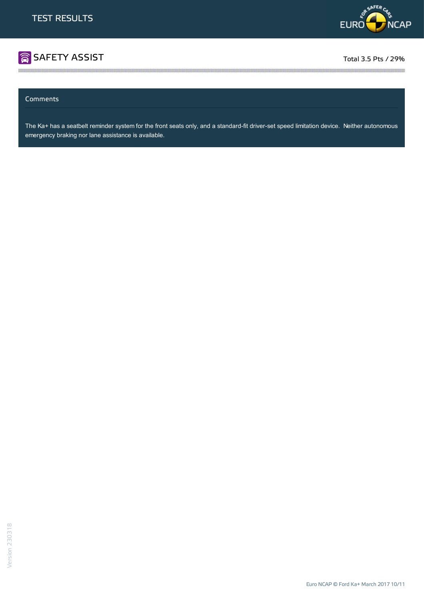

# SAFETY ASSIST TOTAL ASSIST TO A REPORT OF THE SERVICE OF THE SERVICE OF THE SERVICE OF THE SERVICE OF THE SERVICE OF THE SERVICE OF THE SERVICE OF THE SERVICE OF THE SERVICE OF THE SERVICE OF THE SERVICE OF THE SERVICE OF

### Comments

The Ka+ has a seatbelt reminder system for the front seats only, and a standard-fit driver-set speed limitation device. Neither autonomous emergency braking nor lane assistance is available.

the contract of the contract of the contract of the contract of the contract of the contract of the contract of